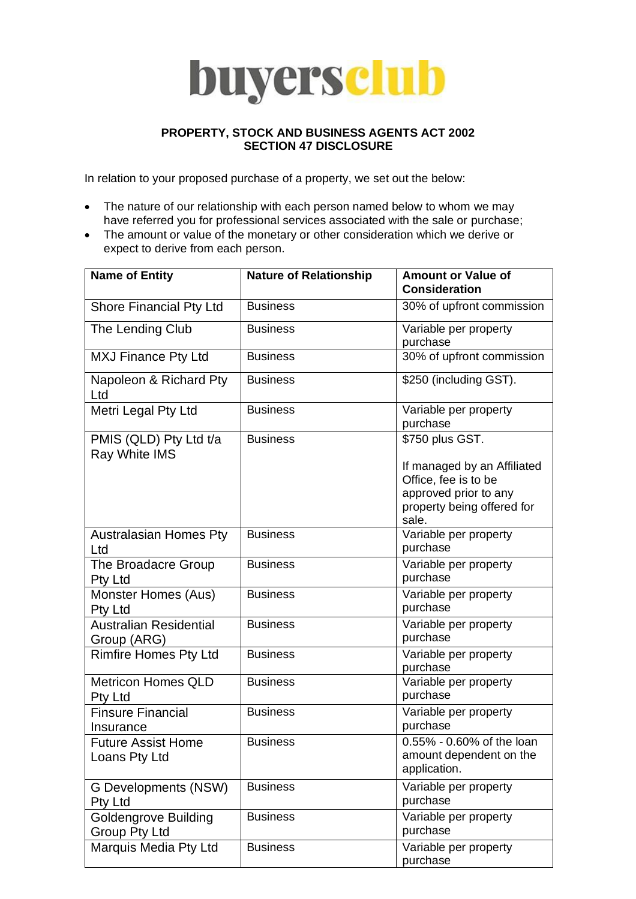## buyersclub

## **PROPERTY, STOCK AND BUSINESS AGENTS ACT 2002 SECTION 47 DISCLOSURE**

In relation to your proposed purchase of a property, we set out the below:

- The nature of our relationship with each person named below to whom we may have referred you for professional services associated with the sale or purchase;
- The amount or value of the monetary or other consideration which we derive or expect to derive from each person.

| <b>Name of Entity</b>                               | <b>Nature of Relationship</b> | <b>Amount or Value of</b><br><b>Consideration</b>                    |
|-----------------------------------------------------|-------------------------------|----------------------------------------------------------------------|
| Shore Financial Pty Ltd                             | <b>Business</b>               | 30% of upfront commission                                            |
| The Lending Club                                    | <b>Business</b>               | Variable per property<br>purchase                                    |
| <b>MXJ Finance Pty Ltd</b>                          | <b>Business</b>               | 30% of upfront commission                                            |
| Napoleon & Richard Pty<br>Ltd                       | <b>Business</b>               | \$250 (including GST).                                               |
| Metri Legal Pty Ltd                                 | <b>Business</b>               | Variable per property<br>purchase                                    |
| PMIS (QLD) Pty Ltd t/a<br>Ray White IMS             | <b>Business</b>               | \$750 plus GST.                                                      |
|                                                     |                               | If managed by an Affiliated<br>Office, fee is to be                  |
|                                                     |                               | approved prior to any<br>property being offered for<br>sale.         |
| <b>Australasian Homes Pty</b><br>Ltd                | <b>Business</b>               | Variable per property<br>purchase                                    |
| The Broadacre Group<br><b>Pty Ltd</b>               | <b>Business</b>               | Variable per property<br>purchase                                    |
| Monster Homes (Aus)<br>Pty Ltd                      | <b>Business</b>               | Variable per property<br>purchase                                    |
| Australian Residential<br>Group (ARG)               | <b>Business</b>               | Variable per property<br>purchase                                    |
| <b>Rimfire Homes Pty Ltd</b>                        | <b>Business</b>               | Variable per property<br>purchase                                    |
| <b>Metricon Homes QLD</b><br><b>Pty Ltd</b>         | <b>Business</b>               | Variable per property<br>purchase                                    |
| <b>Finsure Financial</b><br>Insurance               | <b>Business</b>               | Variable per property<br>purchase                                    |
| <b>Future Assist Home</b><br>Loans Pty Ltd          | <b>Business</b>               | 0.55% - 0.60% of the loan<br>amount dependent on the<br>application. |
| <b>G Developments (NSW)</b><br>Pty Ltd              | <b>Business</b>               | Variable per property<br>purchase                                    |
| <b>Goldengrove Building</b><br><b>Group Pty Ltd</b> | <b>Business</b>               | Variable per property<br>purchase                                    |
| Marquis Media Pty Ltd                               | <b>Business</b>               | Variable per property<br>purchase                                    |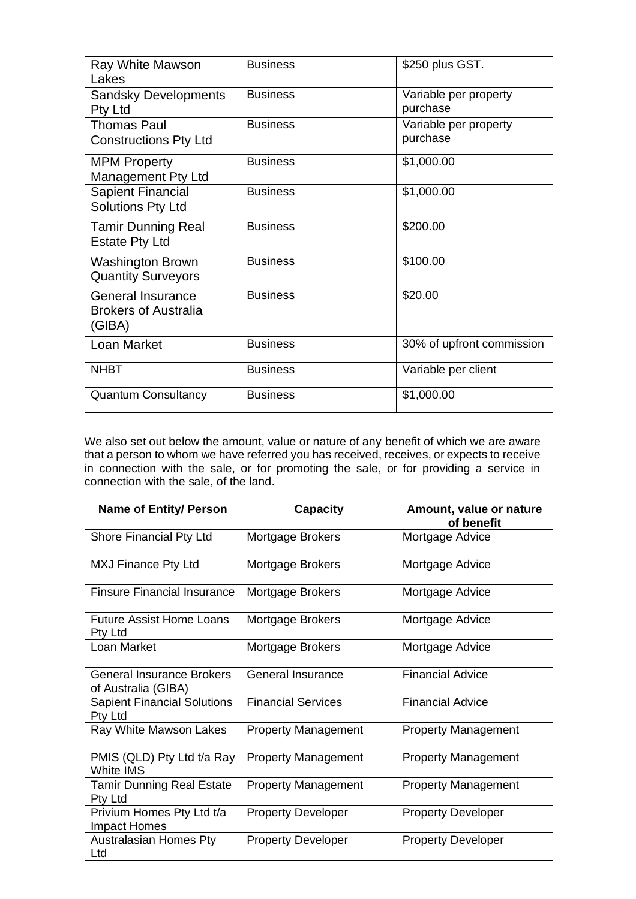| Ray White Mawson<br>Lakes                                         | <b>Business</b> | \$250 plus GST.                   |
|-------------------------------------------------------------------|-----------------|-----------------------------------|
| <b>Sandsky Developments</b><br>Pty Ltd                            | <b>Business</b> | Variable per property<br>purchase |
| <b>Thomas Paul</b><br><b>Constructions Pty Ltd</b>                | <b>Business</b> | Variable per property<br>purchase |
| <b>MPM Property</b><br>Management Pty Ltd                         | <b>Business</b> | \$1,000.00                        |
| <b>Sapient Financial</b><br>Solutions Pty Ltd                     | <b>Business</b> | \$1,000.00                        |
| <b>Tamir Dunning Real</b><br><b>Estate Pty Ltd</b>                | <b>Business</b> | \$200.00                          |
| <b>Washington Brown</b><br><b>Quantity Surveyors</b>              | <b>Business</b> | \$100.00                          |
| <b>General Insurance</b><br><b>Brokers of Australia</b><br>(GIBA) | <b>Business</b> | \$20.00                           |
| Loan Market                                                       | <b>Business</b> | 30% of upfront commission         |
| <b>NHBT</b>                                                       | <b>Business</b> | Variable per client               |
| <b>Quantum Consultancy</b>                                        | <b>Business</b> | \$1,000.00                        |

We also set out below the amount, value or nature of any benefit of which we are aware that a person to whom we have referred you has received, receives, or expects to receive in connection with the sale, or for promoting the sale, or for providing a service in connection with the sale, of the land.

| <b>Name of Entity/ Person</b>                           | <b>Capacity</b>            | Amount, value or nature<br>of benefit |
|---------------------------------------------------------|----------------------------|---------------------------------------|
| Shore Financial Pty Ltd                                 | Mortgage Brokers           | Mortgage Advice                       |
| MXJ Finance Pty Ltd                                     | Mortgage Brokers           | Mortgage Advice                       |
| <b>Finsure Financial Insurance</b>                      | Mortgage Brokers           | Mortgage Advice                       |
| <b>Future Assist Home Loans</b><br>Pty Ltd              | Mortgage Brokers           | Mortgage Advice                       |
| Loan Market                                             | Mortgage Brokers           | Mortgage Advice                       |
| <b>General Insurance Brokers</b><br>of Australia (GIBA) | General Insurance          | <b>Financial Advice</b>               |
| <b>Sapient Financial Solutions</b><br>Pty Ltd           | <b>Financial Services</b>  | <b>Financial Advice</b>               |
| Ray White Mawson Lakes                                  | <b>Property Management</b> | <b>Property Management</b>            |
| PMIS (QLD) Pty Ltd t/a Ray<br>White IMS                 | <b>Property Management</b> | <b>Property Management</b>            |
| <b>Tamir Dunning Real Estate</b><br>Pty Ltd             | <b>Property Management</b> | <b>Property Management</b>            |
| Privium Homes Pty Ltd t/a<br>Impact Homes               | <b>Property Developer</b>  | <b>Property Developer</b>             |
| <b>Australasian Homes Pty</b><br>Ltd                    | <b>Property Developer</b>  | <b>Property Developer</b>             |